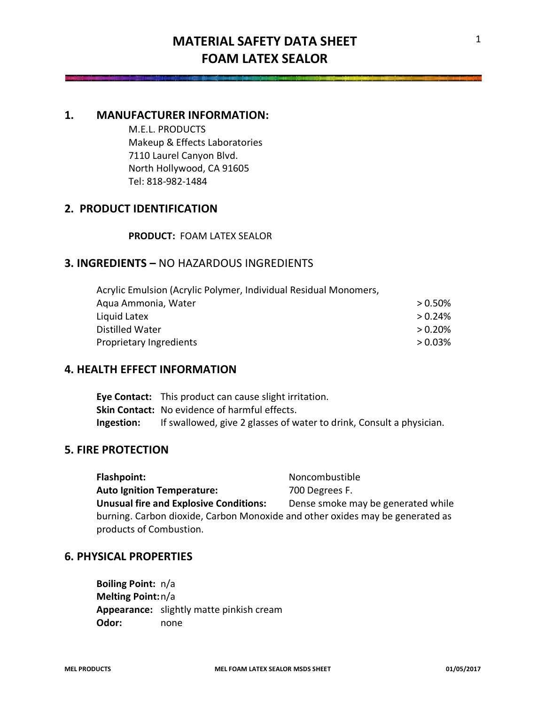## **1. MANUFACTURER INFORMATION:**

M.E.L. PRODUCTS Makeup & Effects Laboratories 7110 Laurel Canyon Blvd. North Hollywood, CA 91605 Tel: 818-982-1484

# **2. PRODUCT IDENTIFICATION**

### **PRODUCT:** FOAM LATEX SEALOR

# **3. INGREDIENTS –** NO HAZARDOUS INGREDIENTS

| Acrylic Emulsion (Acrylic Polymer, Individual Residual Monomers, |            |
|------------------------------------------------------------------|------------|
| Aqua Ammonia, Water                                              | $> 0.50\%$ |
| Liquid Latex                                                     | > 0.24%    |
| Distilled Water                                                  | > 0.20%    |
| Proprietary Ingredients                                          | > 0.03%    |

### **4. HEALTH EFFECT INFORMATION**

**Eye Contact:** This product can cause slight irritation. **Skin Contact:** No evidence of harmful effects. **Ingestion:** If swallowed, give 2 glasses of water to drink, Consult a physician.

### **5. FIRE PROTECTION**

Flashpoint: Noncombustible Auto Ignition Temperature: 700 Degrees F. **Unusual fire and Explosive Conditions:** Dense smoke may be generated while burning. Carbon dioxide, Carbon Monoxide and other oxides may be generated as products of Combustion.

# **6. PHYSICAL PROPERTIES**

**Boiling Point:** n/a **Melting Point:**n/a **Appearance:** slightly matte pinkish cream **Odor:** none